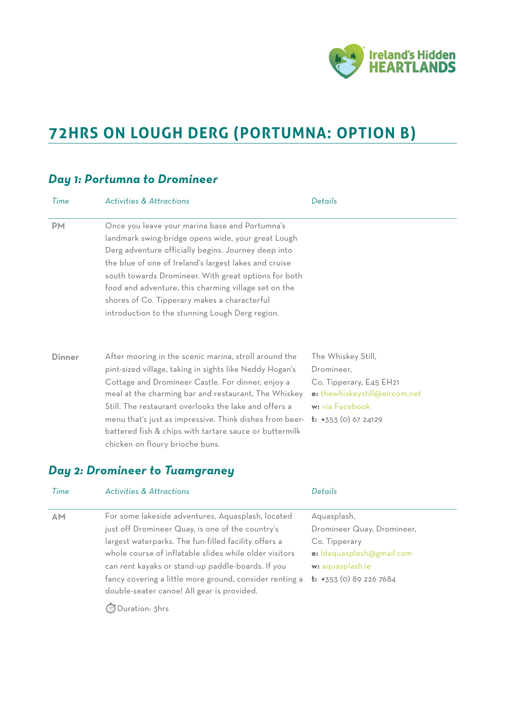

# **72HRS ON LOUGH DERG (PORTUMNA: OPTION B)**

## *Day 1: Portumna to Dromineer*

| Time          | <b>Activities &amp; Attractions</b>                                                                                                                                                                                                                                                                                                                                                                                                            | Details                                                                                                                                          |
|---------------|------------------------------------------------------------------------------------------------------------------------------------------------------------------------------------------------------------------------------------------------------------------------------------------------------------------------------------------------------------------------------------------------------------------------------------------------|--------------------------------------------------------------------------------------------------------------------------------------------------|
| <b>PM</b>     | Once you leave your marina base and Portumna's<br>landmark swing-bridge opens wide, your great Lough<br>Derg adventure officially begins. Journey deep into<br>the blue of one of Ireland's largest lakes and cruise<br>south towards Dromineer. With great options for both<br>food and adventure, this charming village set on the<br>shores of Co. Tipperary makes a characterful<br>introduction to the stunning Lough Derg region.        |                                                                                                                                                  |
| <b>Dinner</b> | After mooring in the scenic marina, stroll around the<br>pint-sized village, taking in sights like Neddy Hogan's<br>Cottage and Dromineer Castle. For dinner, enjoy a<br>meal at the charming bar and restaurant, The Whiskey<br>Still. The restaurant overlooks the lake and offers a<br>menu that's just as impressive. Think dishes from beer-<br>battered fish & chips with tartare sauce or buttermilk<br>chicken on floury brioche buns. | The Whiskey Still,<br>Dromineer,<br>Co. Tipperary, E45 EH21<br>e: thewhiskeystill@eircom.net<br>w: via Facebook<br><b>t:</b> $+353$ (0) 67 24129 |

## *Day 2: Dromineer to Tuamgraney*

| Time      | <b>Activities &amp; Attractions</b>                     | Details                             |
|-----------|---------------------------------------------------------|-------------------------------------|
| <b>AM</b> | For some lakeside adventures, Aquasplash, located       | Aquasplash,                         |
|           | just off Dromineer Quay, is one of the country's        | Dromineer Quay, Dromineer,          |
|           | largest waterparks. The fun-filled facility offers a    | Co. Tipperary                       |
|           | whole course of inflatable slides while older visitors  | e: Idaquasplash@gmail.com           |
|           | can rent kayaks or stand-up paddle-boards. If you       | w: aquasplash.ie                    |
|           | fancy covering a little more ground, consider renting a | $\mathbf{t}$ : +353 (0) 89 226 7684 |
|           | double-seater canoe! All gear is provided.              |                                     |
|           |                                                         |                                     |

⏱ Duration: 3hrs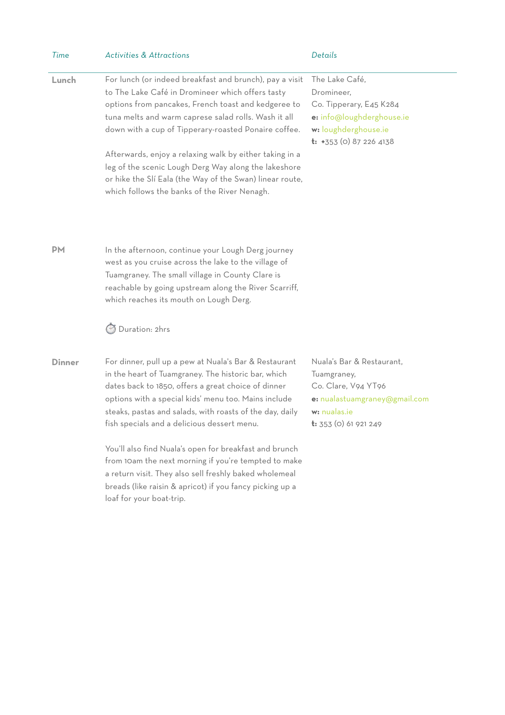| Time          | <b>Activities &amp; Attractions</b>                                                                                                                                                                                                                                                                                                                                                                                                                                                                                                                                                                        | Details                                                                                                                                          |
|---------------|------------------------------------------------------------------------------------------------------------------------------------------------------------------------------------------------------------------------------------------------------------------------------------------------------------------------------------------------------------------------------------------------------------------------------------------------------------------------------------------------------------------------------------------------------------------------------------------------------------|--------------------------------------------------------------------------------------------------------------------------------------------------|
| Lunch         | For lunch (or indeed breakfast and brunch), pay a visit<br>to The Lake Café in Dromineer which offers tasty<br>options from pancakes, French toast and kedgeree to<br>tuna melts and warm caprese salad rolls. Wash it all<br>down with a cup of Tipperary-roasted Ponaire coffee.<br>Afterwards, enjoy a relaxing walk by either taking in a<br>leg of the scenic Lough Derg Way along the lakeshore<br>or hike the SIí Eala (the Way of the Swan) linear route,<br>which follows the banks of the River Nenagh.                                                                                          | The Lake Café,<br>Dromineer,<br>Co. Tipperary, E45 K284<br>e: info@loughderghouse.ie<br>w: loughderghouse.ie<br>$t: +353$ (0) 87 226 4138        |
| <b>PM</b>     | In the afternoon, continue your Lough Derg journey<br>west as you cruise across the lake to the village of<br>Tuamgraney. The small village in County Clare is<br>reachable by going upstream along the River Scarriff,<br>which reaches its mouth on Lough Derg.                                                                                                                                                                                                                                                                                                                                          |                                                                                                                                                  |
|               | Duration: 2hrs                                                                                                                                                                                                                                                                                                                                                                                                                                                                                                                                                                                             |                                                                                                                                                  |
| <b>Dinner</b> | For dinner, pull up a pew at Nuala's Bar & Restaurant<br>in the heart of Tuamgraney. The historic bar, which<br>dates back to 1850, offers a great choice of dinner<br>options with a special kids' menu too. Mains include<br>steaks, pastas and salads, with roasts of the day, daily<br>fish specials and a delicious dessert menu.<br>You'll also find Nuala's open for breakfast and brunch<br>from 10am the next morning if you're tempted to make<br>a return visit. They also sell freshly baked wholemeal<br>breads (like raisin & apricot) if you fancy picking up a<br>loaf for your boat-trip. | Nuala's Bar & Restaurant,<br>Tuamgraney,<br>Co. Clare, V94 YT96<br>e: nualastuamgraney@gmail.com<br>w: nualas.ie<br><b>t:</b> 353 (0) 61 921 249 |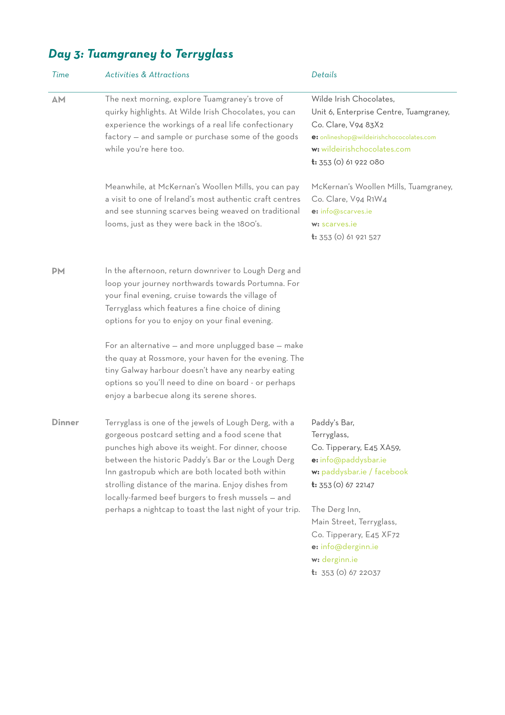## *Day 3: Tuamgraney to Terryglass*

| Time          | <b>Activities &amp; Attractions</b>                                                                                                                                                                                                                                                                                                                                                                                                              | Details                                                                                                                                                                                                                                                      |
|---------------|--------------------------------------------------------------------------------------------------------------------------------------------------------------------------------------------------------------------------------------------------------------------------------------------------------------------------------------------------------------------------------------------------------------------------------------------------|--------------------------------------------------------------------------------------------------------------------------------------------------------------------------------------------------------------------------------------------------------------|
| AM            | The next morning, explore Tuamgraney's trove of<br>quirky highlights. At Wilde Irish Chocolates, you can<br>experience the workings of a real life confectionary<br>factory - and sample or purchase some of the goods<br>while you're here too.                                                                                                                                                                                                 | Wilde Irish Chocolates,<br>Unit 6, Enterprise Centre, Tuamgraney,<br>Co. Clare, V94 83X2<br>e: onlineshop@wildeirishchococolates.com<br>w: wildeirishchocolates.com<br>$t: 353$ (0) 61 922 080                                                               |
|               | Meanwhile, at McKernan's Woollen Mills, you can pay<br>a visit to one of Ireland's most authentic craft centres<br>and see stunning scarves being weaved on traditional<br>looms, just as they were back in the 1800's.                                                                                                                                                                                                                          | McKernan's Woollen Mills, Tuamgraney,<br>Co. Clare, V94 R1W4<br>e: info@scarves.ie<br>w: scarves.je<br><b>t:</b> 353 (0) 61 921 527                                                                                                                          |
| <b>PM</b>     | In the afternoon, return downriver to Lough Derg and<br>loop your journey northwards towards Portumna. For<br>your final evening, cruise towards the village of<br>Terryglass which features a fine choice of dining<br>options for you to enjoy on your final evening.                                                                                                                                                                          |                                                                                                                                                                                                                                                              |
|               | For an alternative - and more unplugged base - make<br>the quay at Rossmore, your haven for the evening. The<br>tiny Galway harbour doesn't have any nearby eating<br>options so you'll need to dine on board - or perhaps<br>enjoy a barbecue along its serene shores.                                                                                                                                                                          |                                                                                                                                                                                                                                                              |
| <b>Dinner</b> | Terryglass is one of the jewels of Lough Derg, with a<br>gorgeous postcard setting and a food scene that<br>punches high above its weight. For dinner, choose<br>between the historic Paddy's Bar or the Lough Derg<br>Inn gastropub which are both located both within<br>strolling distance of the marina. Enjoy dishes from<br>locally-farmed beef burgers to fresh mussels - and<br>perhaps a nightcap to toast the last night of your trip. | Paddy's Bar,<br>Terryglass,<br>Co. Tipperary, E45 XA59,<br>e: info@paddysbar.ie<br>w: paddysbar.ie / facebook<br><b>t:</b> $353$ (0) 67 22147<br>The Derg Inn,<br>Main Street, Terryglass,<br>Co. Tipperary, E45 XF72<br>e: info@derginn.ie<br>w: derginn.ie |

**t:** 353 (0) 67 22037